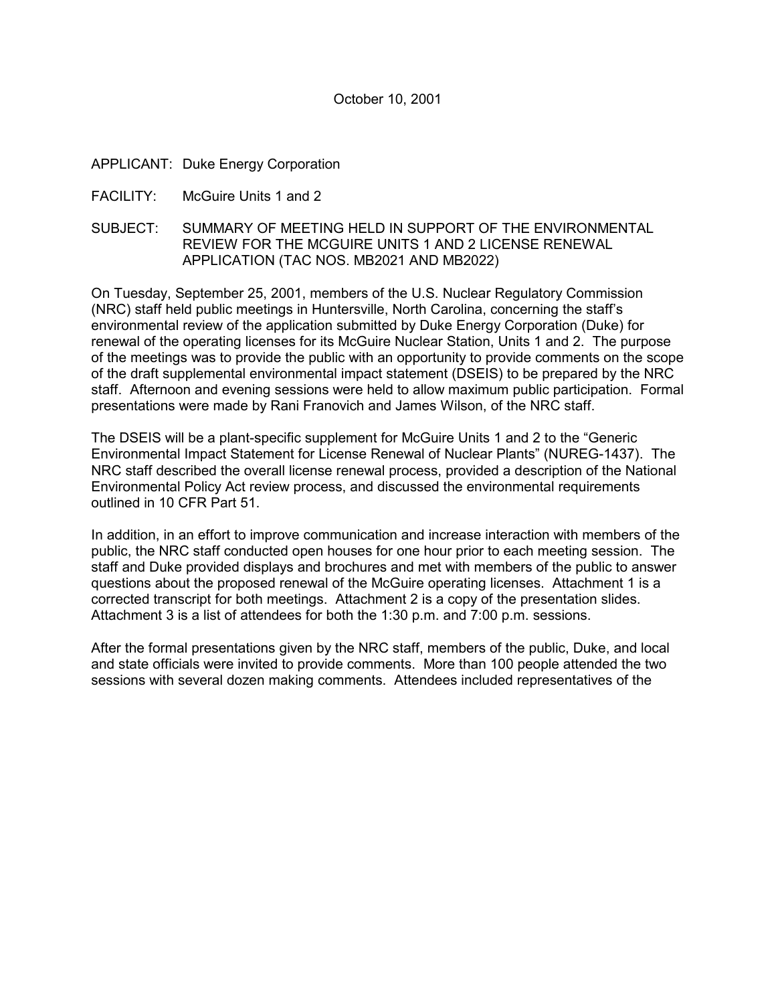#### October 10, 2001

APPLICANT: Duke Energy Corporation

- FACILITY: McGuire Units 1 and 2
- SUBJECT: SUMMARY OF MEETING HELD IN SUPPORT OF THE ENVIRONMENTAL REVIEW FOR THE MCGUIRE UNITS 1 AND 2 LICENSE RENEWAL APPLICATION (TAC NOS. MB2021 AND MB2022)

On Tuesday, September 25, 2001, members of the U.S. Nuclear Regulatory Commission (NRC) staff held public meetings in Huntersville, North Carolina, concerning the staffís environmental review of the application submitted by Duke Energy Corporation (Duke) for renewal of the operating licenses for its McGuire Nuclear Station, Units 1 and 2. The purpose of the meetings was to provide the public with an opportunity to provide comments on the scope of the draft supplemental environmental impact statement (DSEIS) to be prepared by the NRC staff. Afternoon and evening sessions were held to allow maximum public participation. Formal presentations were made by Rani Franovich and James Wilson, of the NRC staff.

The DSEIS will be a plant-specific supplement for McGuire Units 1 and 2 to the "Generic" Environmental Impact Statement for License Renewal of Nuclear Plantsî (NUREG-1437). The NRC staff described the overall license renewal process, provided a description of the National Environmental Policy Act review process, and discussed the environmental requirements outlined in 10 CFR Part 51.

In addition, in an effort to improve communication and increase interaction with members of the public, the NRC staff conducted open houses for one hour prior to each meeting session. The staff and Duke provided displays and brochures and met with members of the public to answer questions about the proposed renewal of the McGuire operating licenses. Attachment 1 is a corrected transcript for both meetings. Attachment 2 is a copy of the presentation slides. Attachment 3 is a list of attendees for both the 1:30 p.m. and 7:00 p.m. sessions.

After the formal presentations given by the NRC staff, members of the public, Duke, and local and state officials were invited to provide comments. More than 100 people attended the two sessions with several dozen making comments. Attendees included representatives of the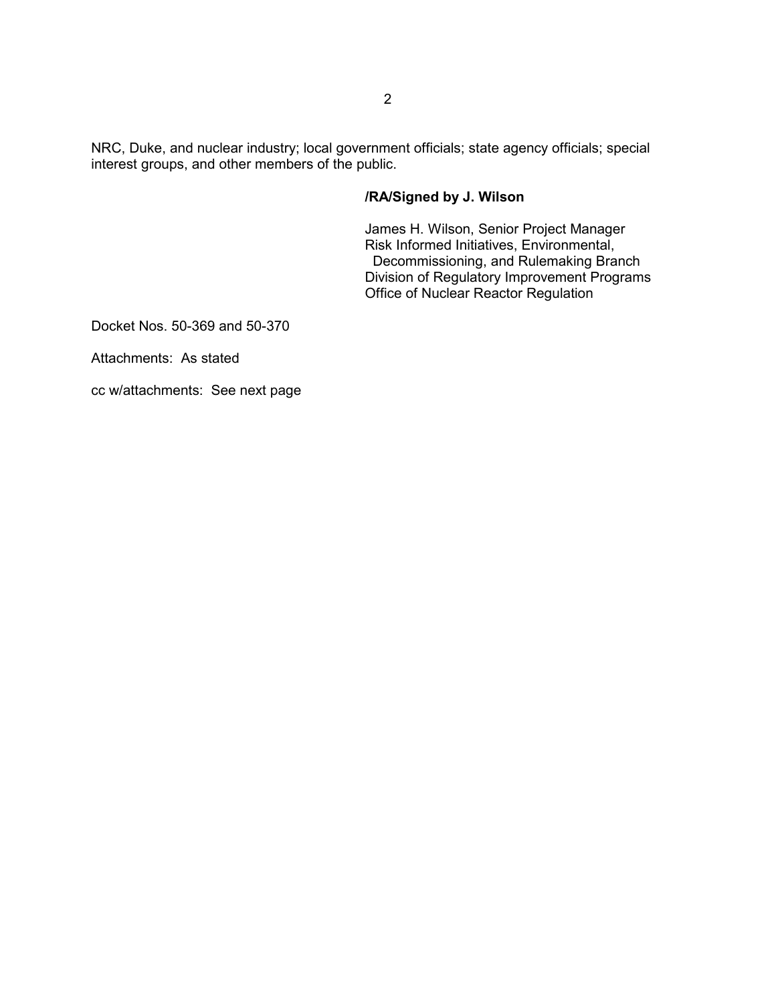NRC, Duke, and nuclear industry; local government officials; state agency officials; special interest groups, and other members of the public.

### **/RA/Signed by J. Wilson**

James H. Wilson, Senior Project Manager Risk Informed Initiatives, Environmental, Decommissioning, and Rulemaking Branch Division of Regulatory Improvement Programs Office of Nuclear Reactor Regulation

Docket Nos. 50-369 and 50-370

Attachments: As stated

cc w/attachments: See next page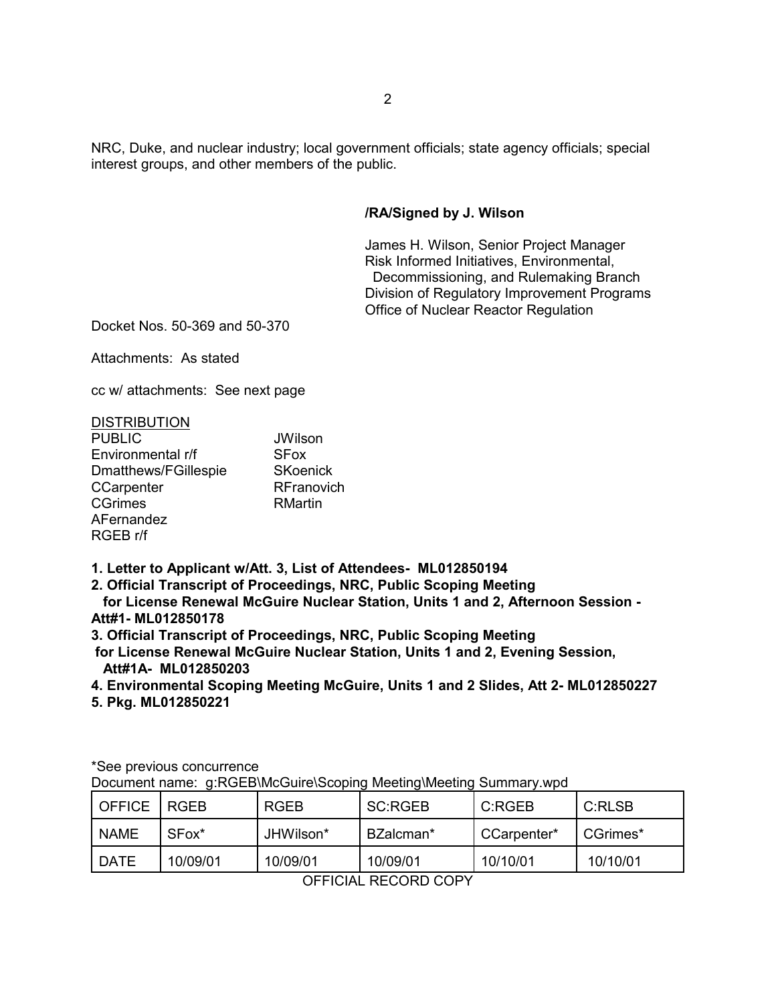NRC, Duke, and nuclear industry; local government officials; state agency officials; special interest groups, and other members of the public.

### **/RA/Signed by J. Wilson**

James H. Wilson, Senior Project Manager Risk Informed Initiatives, Environmental, Decommissioning, and Rulemaking Branch Division of Regulatory Improvement Programs Office of Nuclear Reactor Regulation

Docket Nos. 50-369 and 50-370

Attachments: As stated

cc w/ attachments: See next page

#### **DISTRIBUTION**

| <b>PUBLIC</b>        | <b>JWilson</b>  |
|----------------------|-----------------|
| Environmental r/f    | <b>SFox</b>     |
| Dmatthews/FGillespie | <b>SKoenick</b> |
| CCarpenter           | RFranovich      |
| <b>CGrimes</b>       | RMartin         |
| AFernandez           |                 |
| RGEB r/f             |                 |

**1. Letter to Applicant w/Att. 3, List of Attendees- ML012850194**

**2. Official Transcript of Proceedings, NRC, Public Scoping Meeting**

 **for License Renewal McGuire Nuclear Station, Units 1 and 2, Afternoon Session - Att#1- ML012850178**

**3. Official Transcript of Proceedings, NRC, Public Scoping Meeting**

 **for License Renewal McGuire Nuclear Station, Units 1 and 2, Evening Session, Att#1A- ML012850203**

**4. Environmental Scoping Meeting McGuire, Units 1 and 2 Slides, Att 2- ML012850227**

**5. Pkg. ML012850221**

| <b>OFFICE</b> | <b>RGEB</b>       | <b>RGEB</b> | <b>SC:RGEB</b> | C:RGEB      | C:RLSB   |
|---------------|-------------------|-------------|----------------|-------------|----------|
| <b>NAME</b>   | SFox <sup>*</sup> | JHWilson*   | BZalcman*      | CCarpenter* | CGrimes* |
| <b>DATE</b>   | 10/09/01          | 10/09/01    | 10/09/01       | 10/10/01    | 10/10/01 |

\*See previous concurrence

Document name: g:RGEB\McGuire\Scoping Meeting\Meeting Summary.wpd

OFFICIAL RECORD COPY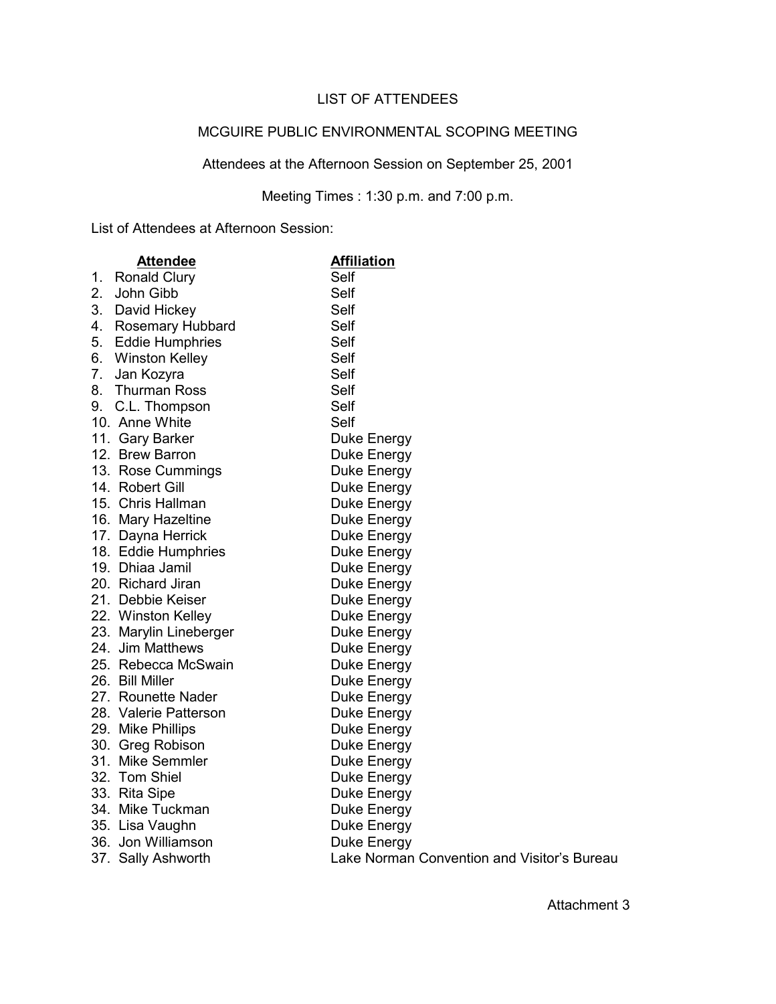## LIST OF ATTENDEES

### MCGUIRE PUBLIC ENVIRONMENTAL SCOPING MEETING

# Attendees at the Afternoon Session on September 25, 2001

## Meeting Times : 1:30 p.m. and 7:00 p.m.

List of Attendees at Afternoon Session:

|                | <b>Attendee</b>        | <b>Affiliation</b>                          |
|----------------|------------------------|---------------------------------------------|
|                | 1. Ronald Clury        | Self                                        |
| 2 <sub>1</sub> | John Gibb              | Self                                        |
|                | 3. David Hickey        | Self                                        |
|                | 4. Rosemary Hubbard    | Self                                        |
|                | 5. Eddie Humphries     | Self                                        |
|                | 6. Winston Kelley      | Self                                        |
| 7.             | Jan Kozyra             | Self                                        |
|                | 8. Thurman Ross        | Self                                        |
|                | 9. C.L. Thompson       | Self                                        |
|                | 10. Anne White         | Self                                        |
|                | 11. Gary Barker        | Duke Energy                                 |
|                | 12. Brew Barron        | Duke Energy                                 |
|                | 13. Rose Cummings      | Duke Energy                                 |
|                | 14. Robert Gill        | Duke Energy                                 |
|                | 15. Chris Hallman      | Duke Energy                                 |
|                | 16. Mary Hazeltine     | Duke Energy                                 |
|                | 17. Dayna Herrick      | Duke Energy                                 |
|                | 18. Eddie Humphries    | Duke Energy                                 |
|                | 19. Dhiaa Jamil        | Duke Energy                                 |
|                | 20. Richard Jiran      | Duke Energy                                 |
|                | 21. Debbie Keiser      | Duke Energy                                 |
|                | 22. Winston Kelley     | Duke Energy                                 |
|                | 23. Marylin Lineberger | Duke Energy                                 |
|                | 24. Jim Matthews       | Duke Energy                                 |
|                | 25. Rebecca McSwain    | Duke Energy                                 |
|                | 26. Bill Miller        | Duke Energy                                 |
|                | 27. Rounette Nader     | Duke Energy                                 |
|                | 28. Valerie Patterson  | Duke Energy                                 |
|                | 29. Mike Phillips      | Duke Energy                                 |
|                | 30. Greg Robison       | Duke Energy                                 |
|                | 31. Mike Semmler       | Duke Energy                                 |
|                | 32. Tom Shiel          | Duke Energy                                 |
|                | 33. Rita Sipe          | Duke Energy                                 |
|                | 34. Mike Tuckman       | Duke Energy                                 |
|                | 35. Lisa Vaughn        | Duke Energy                                 |
|                | 36. Jon Williamson     | Duke Energy                                 |
|                | 37. Sally Ashworth     | Lake Norman Convention and Visitor's Bureau |

Attachment 3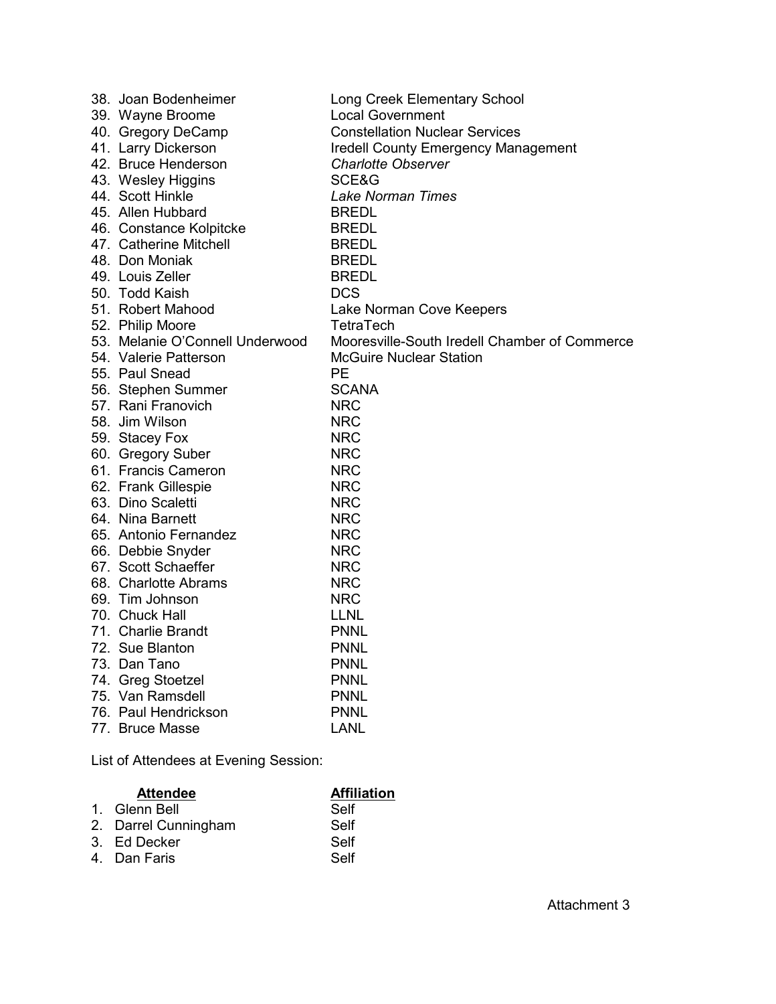| 38. Joan Bodenheimer            | Long Creek Elementary School                  |
|---------------------------------|-----------------------------------------------|
| 39. Wayne Broome                | <b>Local Government</b>                       |
| 40. Gregory DeCamp              | <b>Constellation Nuclear Services</b>         |
| 41. Larry Dickerson             | <b>Iredell County Emergency Management</b>    |
| 42. Bruce Henderson             | <b>Charlotte Observer</b>                     |
| 43. Wesley Higgins              | SCE&G                                         |
| 44. Scott Hinkle                | Lake Norman Times                             |
| 45. Allen Hubbard               | <b>BREDL</b>                                  |
| 46. Constance Kolpitcke         | <b>BREDL</b>                                  |
| 47. Catherine Mitchell          | <b>BREDL</b>                                  |
| 48. Don Moniak                  | <b>BREDL</b>                                  |
| 49. Louis Zeller                | <b>BREDL</b>                                  |
| 50. Todd Kaish                  | <b>DCS</b>                                    |
| 51. Robert Mahood               | Lake Norman Cove Keepers                      |
| 52. Philip Moore                | TetraTech                                     |
| 53. Melanie O'Connell Underwood | Mooresville-South Iredell Chamber of Commerce |
| 54. Valerie Patterson           | <b>McGuire Nuclear Station</b>                |
| 55. Paul Snead                  | <b>PE</b>                                     |
| 56. Stephen Summer              | <b>SCANA</b>                                  |
| 57. Rani Franovich              | <b>NRC</b>                                    |
| 58. Jim Wilson                  | <b>NRC</b>                                    |
| 59. Stacey Fox                  | <b>NRC</b>                                    |
| 60. Gregory Suber               | <b>NRC</b>                                    |
| 61. Francis Cameron             | <b>NRC</b>                                    |
| 62. Frank Gillespie             | <b>NRC</b>                                    |
| 63. Dino Scaletti               | <b>NRC</b>                                    |
| 64. Nina Barnett                | <b>NRC</b>                                    |
| 65. Antonio Fernandez           | <b>NRC</b>                                    |
| 66. Debbie Snyder               | <b>NRC</b>                                    |
| 67. Scott Schaeffer             | <b>NRC</b>                                    |
| 68. Charlotte Abrams            | <b>NRC</b>                                    |
| 69. Tim Johnson                 | <b>NRC</b>                                    |
| 70. Chuck Hall                  | <b>LLNL</b>                                   |
| 71. Charlie Brandt              | <b>PNNL</b>                                   |
| 72. Sue Blanton                 | <b>PNNL</b>                                   |
| 73. Dan Tano                    | <b>PNNL</b>                                   |
| 74. Greg Stoetzel               | <b>PNNL</b>                                   |
| 75. Van Ramsdell                | <b>PNNL</b>                                   |
| 76. Paul Hendrickson            | <b>PNNL</b>                                   |
| 77. Bruce Masse                 | <b>LANL</b>                                   |

List of Attendees at Evening Session:

| <b>Attendee</b>      | <b>Affiliation</b> |
|----------------------|--------------------|
| 1. Glenn Bell        | Self               |
| 2. Darrel Cunningham | Self               |
| 3. Ed Decker         | Self               |
| 4. Dan Faris         | Self               |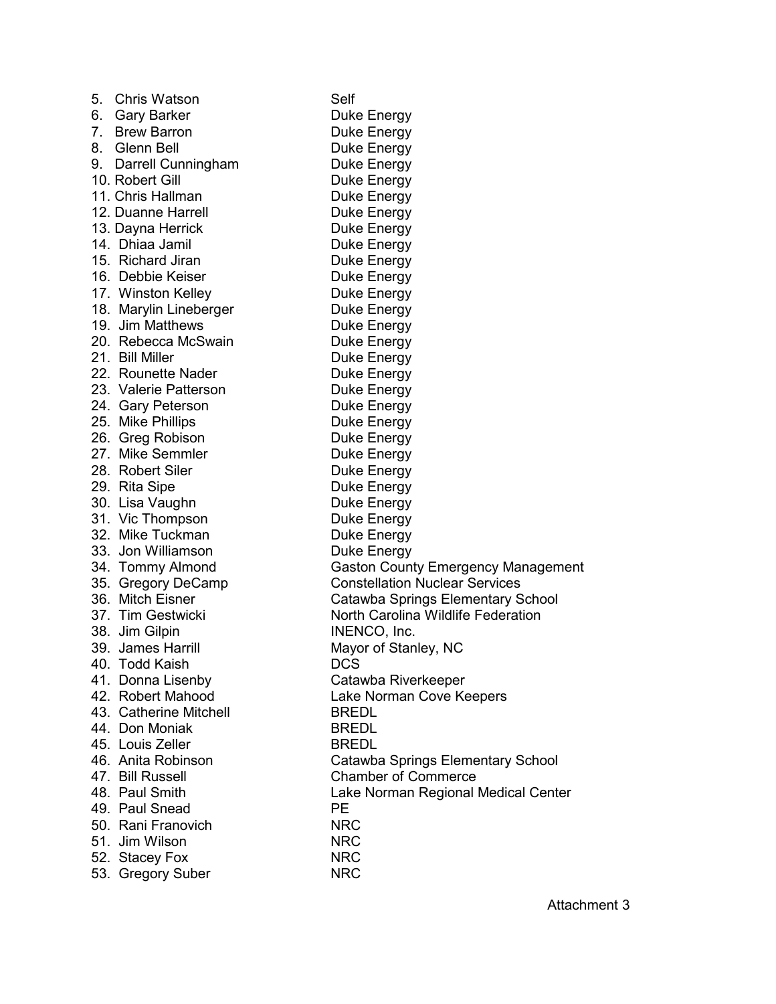| 5. | <b>Chris Watson</b>                 | Self                                      |
|----|-------------------------------------|-------------------------------------------|
|    | 6. Gary Barker                      | Duke Energy                               |
|    | 7. Brew Barron                      | Duke Energy                               |
|    | 8. Glenn Bell                       | Duke Energy                               |
|    | 9. Darrell Cunningham               | Duke Energy                               |
|    | 10. Robert Gill                     | Duke Energy                               |
|    | 11. Chris Hallman                   | Duke Energy                               |
|    | 12. Duanne Harrell                  | Duke Energy                               |
|    | 13. Dayna Herrick                   | Duke Energy                               |
|    | 14. Dhiaa Jamil                     | Duke Energy                               |
|    | 15. Richard Jiran                   | Duke Energy                               |
|    | 16. Debbie Keiser                   | Duke Energy                               |
|    | 17. Winston Kelley                  | Duke Energy                               |
|    | 18. Marylin Lineberger              | Duke Energy                               |
|    | 19. Jim Matthews                    | Duke Energy                               |
|    | 20. Rebecca McSwain                 | Duke Energy                               |
|    | 21. Bill Miller                     | Duke Energy                               |
|    | 22. Rounette Nader                  | Duke Energy                               |
|    | 23. Valerie Patterson               | Duke Energy                               |
|    | 24. Gary Peterson                   | Duke Energy                               |
|    | 25. Mike Phillips                   | Duke Energy                               |
|    | 26. Greg Robison                    | Duke Energy                               |
|    | 27. Mike Semmler                    | Duke Energy                               |
|    | 28. Robert Siler                    | Duke Energy                               |
|    | 29. Rita Sipe                       | Duke Energy                               |
|    | 30. Lisa Vaughn                     | Duke Energy                               |
|    | 31. Vic Thompson                    | Duke Energy                               |
|    | 32. Mike Tuckman                    | Duke Energy                               |
|    | 33. Jon Williamson                  | Duke Energy                               |
|    | 34. Tommy Almond                    | <b>Gaston County Emergency Management</b> |
|    | 35. Gregory DeCamp                  | <b>Constellation Nuclear Services</b>     |
|    | 36. Mitch Eisner                    | Catawba Springs Elementary School         |
|    | 37. Tim Gestwicki                   | North Carolina Wildlife Federation        |
|    |                                     | INENCO, Inc.                              |
|    | 38. Jim Gilpin<br>39. James Harrill |                                           |
|    |                                     | Mayor of Stanley, NC                      |
|    | 40. Todd Kaish                      | <b>DCS</b>                                |
|    | 41. Donna Lisenby                   | Catawba Riverkeeper                       |
|    | 42. Robert Mahood                   | Lake Norman Cove Keepers                  |
|    | 43. Catherine Mitchell              | <b>BREDL</b>                              |
|    | 44. Don Moniak                      | <b>BREDL</b>                              |
|    | 45. Louis Zeller                    | <b>BREDL</b>                              |
|    | 46. Anita Robinson                  | Catawba Springs Elementary School         |
|    | 47. Bill Russell                    | <b>Chamber of Commerce</b>                |
|    | 48. Paul Smith                      | Lake Norman Regional Medical Center       |
|    | 49. Paul Snead                      | <b>PE</b>                                 |
|    | 50. Rani Franovich                  | <b>NRC</b>                                |
|    | 51. Jim Wilson                      | <b>NRC</b>                                |
|    | 52. Stacey Fox                      | <b>NRC</b>                                |
|    | 53. Gregory Suber                   | <b>NRC</b>                                |

Attachment 3